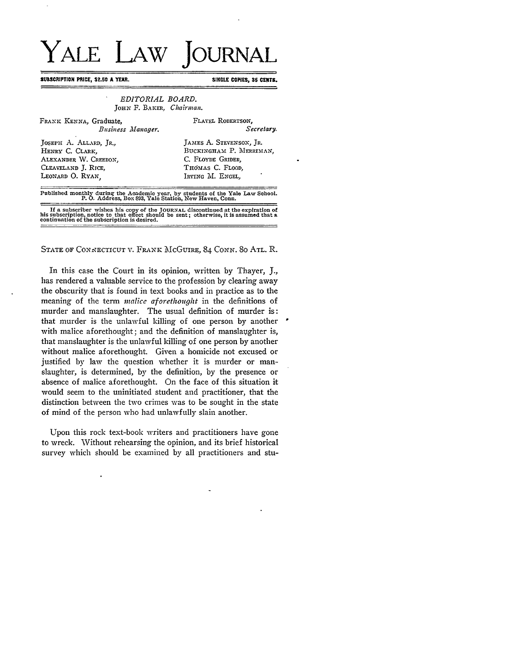# YALE LAW **JOURNAL**

**SUBSCRIPTION PRICE, \$2.60 A YEAR. SINGLE COPIES, 35 CENTS.** 

| FRANK KENNA, Graduate, | FLAVEL ROBERTSON.       |
|------------------------|-------------------------|
| Business Manager.      | Secretary.              |
| JOSEPH A. ALLARD, JR., | JAMES A. STEVENSON, JR. |
| HENRY C. CLARK,        | BUCKINGHAM P. MERRIMAN. |
| ALEXANDER W. CREEDON,  | C. FLOYDE GRIDER,       |
| CLEAVELAND J. RICE,    | THOMAS C. FLOOD,        |
| LEONARD O. RYAN.       | IRVING M. ENGEL.        |

If a subscriber wishes his copy of the JOURNAL discontinued at the expiration of<br>his subscription, notice to that effect should be sent; otherwise, it is assumed that a<br>continuation of the subscription is desired.

STATE OF CONNECTICUT V. FRANK McGUIRE, 84 CONN. 80 ATL. R.

In this case the Court in its opinion, written by Thayer, J., has rendered a valuable service to the profession by clearing away the obscurity that is found in text books and in practice as to the meaning of the term *malice aforethought* in the definitions of murder and manslaughter. The usual definition of murder is: that murder is the unlawful killing of one person by another with malice aforethought; and the definition of manslaughter is, that manslaughter is the unlawful killing of one person by another without malice aforethought. Given a homicide not excused or justified by law the question whether it is murder or manslaughter, is determined, by the definition, by the presence or absence of malice aforethought. On the face of this situation it would seem to the uninitiated student and practitioner, that the distinction between the two crimes was to be sought in the state of mind of the person who had unlawfully slain another.

Upon this rock text-book writers and practitioners have gone to wreck. Without rehearsing the opinion, and its brief historical survey which should be examined by all practitioners and stu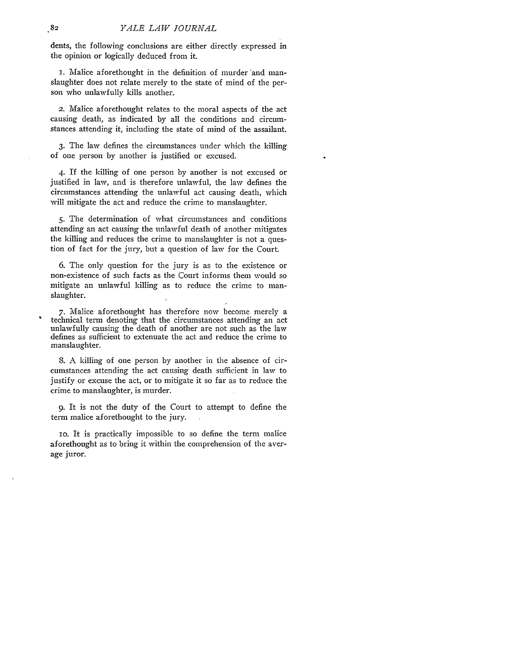dents, the following conclusions are either directly expressed in the opinion or logically deduced from it.

**i.** Malice aforethought in the definition of murder and manslaughter does not relate merely to the state of mind of the person who unlawfully kills another.

2. Malice aforethought relates to the moral aspects of the act causing death, as indicated **by** all the conditions and circumstances attending it, including the state of mind of the assailant.

**3.** The law defines the circumstances under which the killing of one person **by** another is justified or excused.

4. If the killing of one person **by** another is not excused or justified in law, and is therefore unlawful, the law defines the circumstances attending the unlawful act causing death, which will mitigate the act and reduce the crime to manslaughter.

**5.** The determination of what circumstances and conditions attending an act causing the unlawful death of another mitigates the killing and reduces the crime to manslaughter is not a question of fact for the jury, but a question of law for the Court.

**6.** The only question for the jury is as to the existence or non-existence of such facts as the Court informs them would so mitigate an unlawful killing as to reduce the crime to manslaughter.

**7.** Malice aforethought has therefore now become merely a technical term denoting that the circumstances attending an act unlawfully causing the death of another are not such as the law defines as sufficient to extenuate the act and reduce the crime to manslaughter.

**S. A** killing of one person **by** another in the absence of circumstances attending the act causing death sufficient in law to justify or excuse the act, or to mitigate it so far as to reduce the crime to manslaughter, is murder.

9. It is not the duty of the Court to attempt to define the term malice aforethought to the jury.

**IO.** It is practically impossible to so define the term malice aforethought as to bring it within the comprehension of the average juror.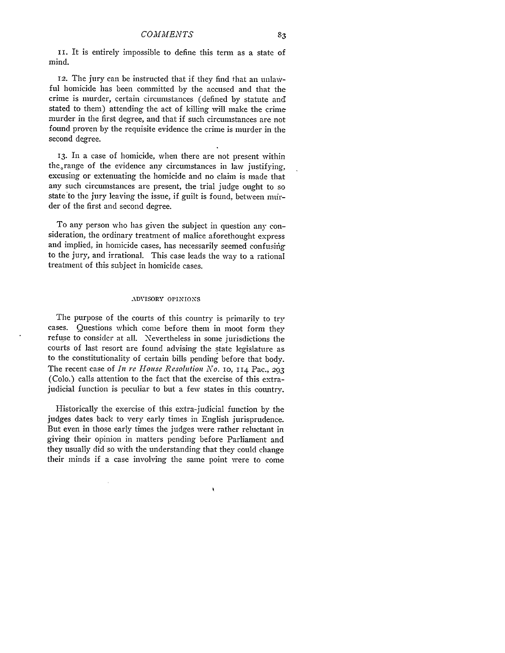Ii. It is entirely impossible to define this term as a state of mind.

**12.** The jury can be instructed that if they find that an unlawful homicide has been committed **by** the accused and that the crime is murder, certain circumstances (defined **by** statute and stated to them) attending the act of killing will make the crime murder in the first degree, and that if such circumstances are not found proven by the requisite evidence the crime is murder in the second degree.

**13.** In a case of homicide, when there are not present within the range of the evidence any circumstances in law justifying, excusing or extenuating the homicide and no claim is made that any such circumstances are present, the trial judge ought to so state'to the jury leaving the issue, if guilt is found, between mirder of the first and second degree.

To any person who has given the subject in question any consideration, the ordinary treatment of malice aforethought express and implied, in homicide cases, has necessarily seemed confusing to the jury, and irrational. This case leads the way to a rational treatment of this subject in homicide cases.

#### ADVISORY OPINIONS

The purpose of the courts of this country is primarily to try cases. Questions which come before them in moot form they refuse to consider at all. Nevertheless in some jurisdictions the courts of last resort are found advising the state legislature as to the constitutionality of certain bills pending before that body. The recent case of *In re House Resolution No.* io, **114** Pac., **293** (Colo.) calls attention to the fact that the exercise of this extrajudicial function is peculiar to but a few states in this country.

Historically the exercise of this extra-judicial function **by** the judges dates back to very early times in English jurisprudence. But even in those early times the judges were rather reluctant in giving their opinion in matters pending before Parliament and they usually did so with the understanding that they could change their minds if a case involving the same point were to come

Ì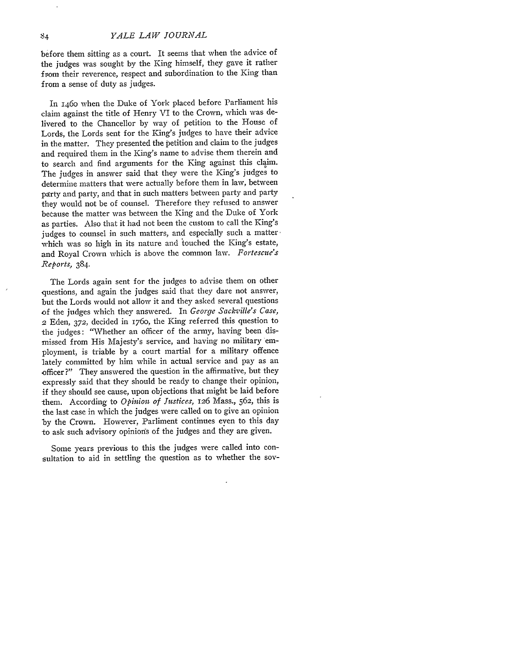before them sitting as a court. It seems that when the advice of the judges was sought by the King himself, they gave it rather from their reverence, respect and subordination to the King than from a sense of duty as judges.

In 146o when the Duke of York placed before Parliament his claim against the title of Henry VI to the Crown, which was delivered to the Chancellor by way of petition to the House of Lords, the Lords sent for the King's judges to have their advice in the matter. They presented the petition and claim to the judges and required them in the King's name to advise them therein and to search and find arguments for the King against this claim. The judges in answer said that they were the King's judges to determine matters that were actually before them in law, between party and party, and that in such matters between party and party they would not be of counsel. Therefore they refused to answer because the matter was between the King and the Duke of York as parties. Also that it had not been the custom to call the King's judges to counsel in such matters, and especially such a matter which was so high in its nature and touched the King's estate, and Royal Crown which is above the common law. *Fortescue's Reports,* 384.

The Lords again sent for the judges to advise them on other questions, and again the judges said that they dare not answer, but the Lords would not allow it and they asked several questions **of** the judges which they answered. In *George Sackville's Case,* <sup>2</sup>Eden, **372,** decided in 176o, the King referred this question to the judges: "Whether an officer of the army, having been dismissed from His Majesty's service, and having no military employment, is triable by a court martial for a military offence lately committed by him while in actual service and pay as an officer?" They answered the question in the affirmative, but they expressly said that they should be ready to change their opinion, if they should see cause, upon objections that might be laid before them. According to *Opinion of Justices*, 126 Mass., 562, this is the last case in which the judges were called on to give an opinion by the Crown. However, Parliment continues even to this day to ask such advisory opinions of the judges and they are given.

Some years previous to this the judges were called into consultation to aid in settling the question as to whether the soy-

 $\overline{84}$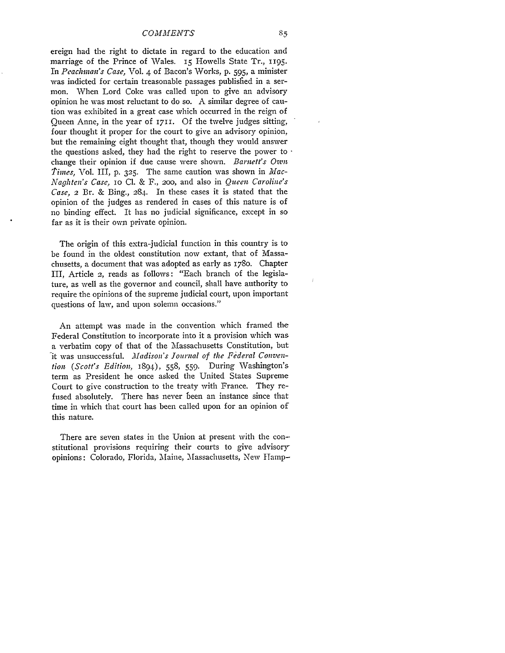*COMMENTS*

ereign had the right to dictate in regard to the education and marriage of the Prince of Wales. **15** Howells State Tr., **1195.** *In Peachman's Case,* Vol. 4 of Bacon's Works, p. 595, a minister was indicted for certain treasonable passages published in a sermon. When Lord Coke was called upon to give an advisory opinion he was most reluctant to do so. A similar degree of caution was exhibited in a great case which occurred in the reign of Queen Anne, in the year of 1711. Of the twelve judges sitting, four thought it proper for the court to give an advisory opinion, but the remaining eight thought that, though they would answer the questions asked, they had the right to reserve the power to  $\cdot$ change their opinion if due cause were shown. *Barnett's Own times,* Vol. III, p. **325.** The same caution was shown in *Mac-Naghten's Case, lO* **Cl.** & F., **200,** and also in *Queen Caroline's Case,* 2 Br. & Bing., 284. In these cases it is stated that the opinion of the judges as rendered in cases of this nature is of no binding effect. It has no judicial significance, except in so far as it is their own private opinion.

The origin of this extra-judicial function in this country is to be found in the oldest constitution now extant, that of Massachusetts, a document that was adopted as early as 178o. Chapter III, Article 2, reads as follows: "Each branch of the legislature, as well as the governor and council, shall have authority to require the opinions of the supreme judicial court, upon important questions of law, and upon solemn occasions."

An attempt was made in the convention which framed the Federal Constitution to incorporate into it a provision which was a verbatim copy of that of the Massachusetts Constitution, but it was unsuccessful. *Madison's Journal of the Federal Convention (Scott's Edition,* 1894), 558, 559. During Washington's term as President he once asked the United States Supreme Court to give construction to the treaty with France. They refused absolutely. There has never been an instance since that time in which that court has been called upon for an opinion of this nature.

There are seven states in the Union at present with the con-stitutional provisions requiring their courts to give advisoryopinions: Colorado, Florida, Maine, Massachusetts, New ITamp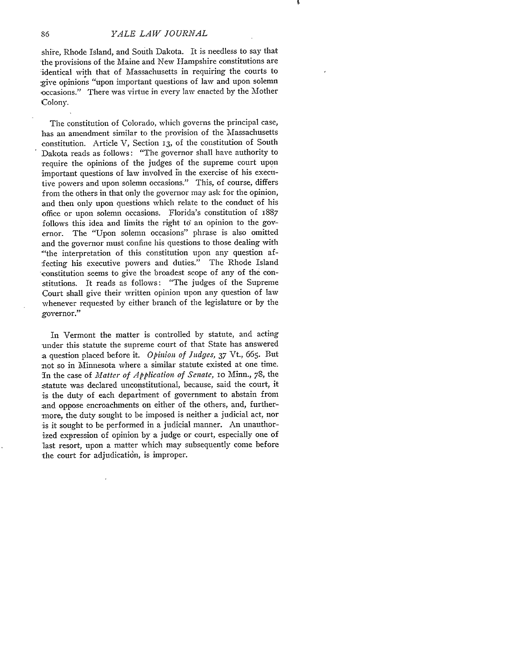shire, Rhode Island, and South Dakota. It is needless to say that the provisions of the Maine and New Hampshire constitutions are 'identical with that of Massachusetts in requiring the courts to :give opinions "upon important questions of law and upon solemn ,occasions." There was virtue in every law enacted by the Mother Colony.

The constitution of Colorado, which governs the principal case, has an amendment similar to the provision of the Massachusetts constitution. Article V, Section **13,** of the constitution of South Dakota reads as follows: "The governor shall have authority to require the opinions of the judges of the supreme court upon important questions of law involved in the exercise of his executive powers and upon solemn occasions." This, of course, differs from the others in that only the governor may ask for the opinion, and then only upon questions which relate to the conduct of his office or upon solemn occasions. Florida's constitution of 1887 follows this idea and limits the right to an opinion to the governor. The "Upon solemn occasions" phrase is also omitted and the governor must confine his questions to those dealing with "the interpretation of this constitution upon any question affecting his executive powers and duties." The Rhode Island constitution seems to give the broadest scope of any of the constitutions. It reads as follows: "The judges of the Supreme Court shall give their written opinion upon any question of law whenever requested by either branch of the legislature or by the governor."

In Vermont the matter is controlled by statute, and acting under this statute the supreme court of that State has answered a question placed before it. *Opinion of Judges, 37* Vt., 665. But not so in Minnesota where a similar statute existed at one time. fIn the case of *Matter of Application of Senate,* IO Minn., 78, the statute was declared unconstitutional, because, said the court, it is the duty of each department of government to abstain from and oppose encroachments on either of the others, and, furthermore, the duty sought to be imposed is neither a judicial act, nor is it sought to be performed in a judicial manner. An unauthorized expression of opinion by a judge or court, especially one of last resort, upon a matter which may subsequently come before the court for adjudication, is improper.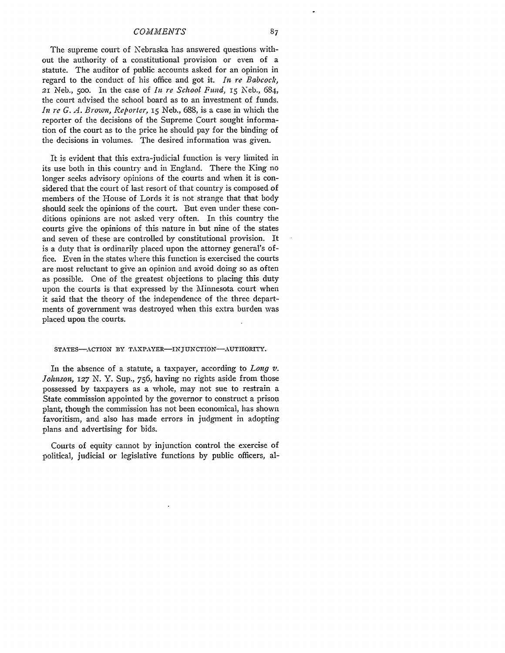The supreme court of Nebraska has answered questions without the authority of a constitutional provision or even of a statute. The auditor of public accounts asked for an opinion in regard to the conduct of his office and got it. *In re Babcock,* **21** Neb., **500.** In the case of *In re School Fund,* **15** Neb., 684, the court advised the school board as to an investment of funds. *In re G. A. Brown, Reporter,* **15** Neb., 688, is a case in which the reporter of the decisions of the Supreme Court sought information of the court as to the price he should pay for the binding of the decisions in volumes. The desired information was given.

It is evident that this extra-judicial function is very limited in its use both in this country and in England. There the King no longer seeks advisory opinions of the courts and when it is considered that the court of last resort of that country is composed of members of the House of Lords it is not strange that that body should seek the opinions of the court. But even under these conditions opinions are not asked very often. In this country the courts give the opinions of this nature in but nine of the states and seven of these are controlled by constitutional provision. It is a duty that is ordinarily placed upon the attorney general's office. Even in the states where this function is exercised the courts are most reluctant to give an opinion and avoid doing so as often as possible. One of the greatest objections to placing this duty upon the courts is that expressed by the Minnesota court when it said that the theory of the independence of the three departments of government was destroyed when this extra burden was placed upon the courts.

#### **STATES-ACTION** *BY* TAXPAYER-INJUNCTION-AUTHORITY.

In the absence of a statute, a taxpayer, according to *Long v. Johnson, 127* N. Y. Sup., 756, having no rights aside from those possessed by taxpayers as a whole, may not sue to restrain a State commission appointed by the governor to construct a prison plant, though the commission has not been economical, has shown favoritism, and also has made errors in judgment in adopting plans and advertising for bids.

Courts of equity cannot by injunction control the exercise of political, judicial or legislative functions by public officers, al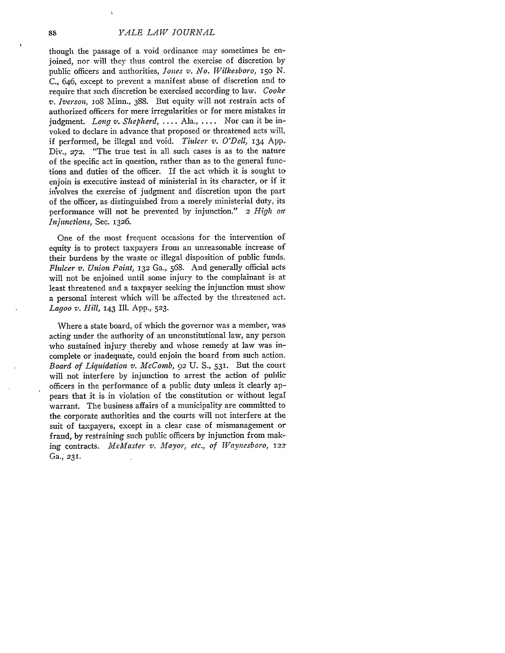though the passage of a void ordinance may sometimes be enjoined, nor will they thus control the exercise of discretion by public officers and authorities, *Jones v. No. Wilkesboro, 15o* N. C., 646, except to prevent a manifest abuse of discretion and to, require that such discretion be exercised according to law. *Cooke v. Iverson,* ioS linn., 388. But equity will not restrain acts of authorized officers for mere irregularities or for mere mistakes in judgment. *Long v. Shepherd*,  $\dots$  Ala.,  $\dots$  Nor can it be invoked to declare in advance that proposed or threatened acts will, if performed, be illegal and void. *Thilcer v. O'Dell,* 134 App. Div., **272.** "The true test in all such cases is as to the nature of the specific act in question, rather than as to the general functions and duties of the officer. If the act which it is sought to enjoin is executive instead of ministerial in its character, or if it in'volves the exercise of judgment and discretion upon the part of the officer, as distinguished from a merely ministerial duty, its performance will not be prevented by injunction." *2 High or Injunctions,* Sec. 1326.

One of the most frequent occasions for the intervention of equity is to protect taxpayers from an unreasonable increase of their burdens **by** the waste or illegal disposition of public funds. *Flhedcer v. Union Point,* **132** Ga., 568. And generally official acts will not be enjoined until some injury to the complainant is at least threatened and a taxpayer seeking the injunction must show a personal interest which will be affected **by** the threatened act. *Lagoo v. Hill,* 143 **Ili.** App., **523.**

Where a state board, of which the governor was a member, was acting under the authority of an unconstitutional law, any person who sustained injury thereby and whose remedy at law was incomplete or inadequate, could enjoin the board from such action. *Board of Liquidation v. McComb,* 92 **U.** S., 531. But the court will not interfere by injunction to arrest the action of public officers in the performance of a public duty unless it clearly appears that it is in violation of the constitution or without legal warrant. The business affairs of a municipality are committed to the corporate authorities and the courts will not interfere at the suit of taxpayers, except in a clear case of mismanagement or fraud, by restraining such public officers by injunction from making contracts. *McMaster v. Mayor, etc., of Waynesboro, i2* Ga., 231.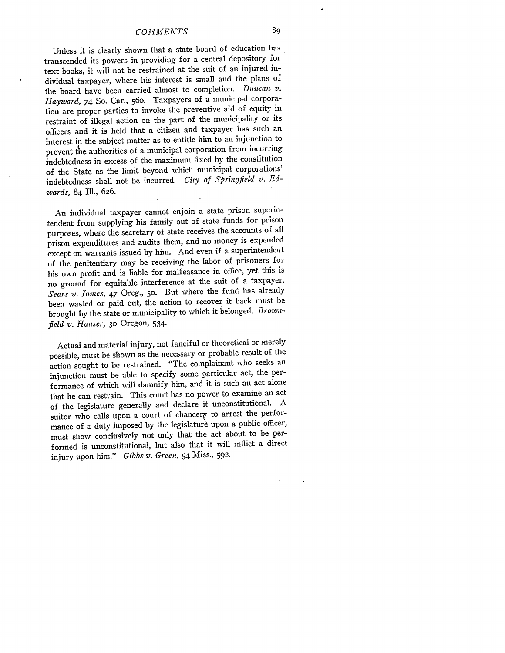Unless it is clearly shown that a state board of education has transcended its powers in providing for a central depository for text books, it will not be restrained at the suit of an injured individual taxpayer, where his interest is small and the plans of the board have been carried almost to completion. *Duncan v. Hayward,* 74 So. Car., 56o. Taxpayers of a municipal corporation are proper parties to invoke the preventive aid of equity in restraint of illegal action on the part of the municipality or its officers and it is held that a citizen and taxpayer has such an interest in the subject matter as to entitle him to an injunction to prevent the authorities of a municipal corporation from incurring indebtedness in excess of the maximum fixed by the constitution of the State as the limit beyond which municipal corporations' indebtedness shall not be incurred. *City of Springfield v. Edwards,* 84 Ill., 626.

An individual taxpayer cannot enjoin a state prison superintendent from supplying his family out of state funds for prison purposes, where the secretary of state receives the accounts of all prison expenditures and audits them, and no money is expended except on warrants issued by him. And even if a superintendeqt of the penitentiary may be receiving the labor of prisoners for his own profit and is liable for malfeasance in office, yet this is no ground for equitable interference at the suit of a taxpayer. *Sears v. James,* 47 Oreg., **5o.** But where the fund has already been wasted or paid out, the action to recover it back must be brought by the state or municipality to which it belonged. *Brownfield v. Ha user,* **30** Oregon, 534.

Actual and material injury, not fanciful or theoretical or merely possible, must be shown as the necessary or probable result of the action sought to be restrained. "The complainant who seeks an injunction must be able to specify some particular act, the performance of which will damnify him, and it is such an act alone that he can restrain. This court has no power to examine an act of the legislature generally and declare it unconstitutional. **<sup>A</sup>** suitor who calls upon a court of chancery to arrest the performance of a duty imposed by the legislature upon a public officer, must show conclusively not only that the act about to be performed is unconstitutional, but also that it will inflict a direct injury upon him." *Gibbs v. Green,* 54 Miss., **592.**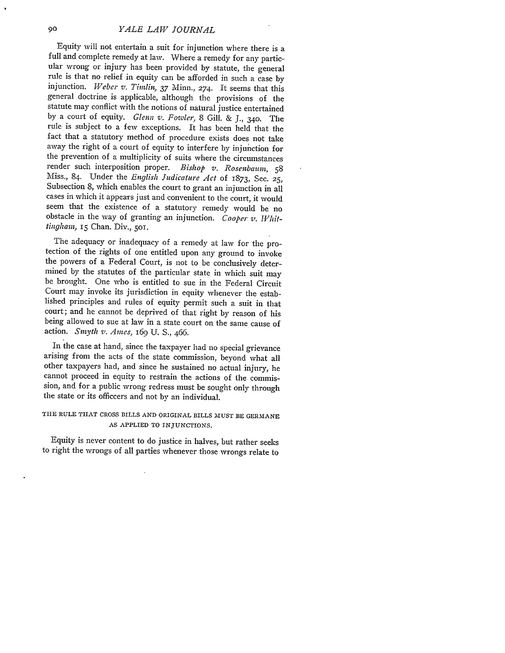Equity will not entertain a suit for injunction where there is a full and complete remedy at law. Where a remedy for any partic-<br>ular wrong or injury has been provided by statute, the general rule is that no relief in equity can be afforded in such a case by injunction. *Weber v. Timlin, 37* Minn., *274.* It seems that this general doctrine is applicable, although the provisions of the statute may conflict with the notions of natural justice entertained by a court of equity. *Glenn v. Fowler,* 8 Gill. & J., 340. The rule is subject to a few exceptions. It has been held that the fact that a statutory method of procedure exists does not take away the right of a court of equity to interfere by injunction for the prevention of a multiplicity of suits where the circumstances render such interposition proper. *Bishop v. Rosenbaum, <sup>58</sup>* Miss., 84. Under the *English Judicature Act* of 1873, Sec. **25,** Subsection 8, which enables the court to grant an injunction in all cases in which it appears just and convenient to the court, it would seem that the existence of a statutory remedy would be no obstacle in the way of granting an injunction. *Cooper v. Whittihgham,* 15 Chan. Div., **501.**

The adequacy or inadequacy of a remedy at law for the protection of the rights of one entitled upon any ground to invoke the powers of a Federal Court, is not to be conclusively determined by the statutes of the particular state in which suit may be brought. One who is entitled to sue in the Federal Circuit Court may invoke its jurisdiction in equity whenever the established principles and rules of equity permit such a suit in that court; and he cannot be deprived of that right by reason of his being allowed to sue at law in a state court on the same cause of action. *Smyth v. Ames,* 169 U. **S.,** 466.

In the case at hand, since the taxpayer had no special grievance arising from the acts of the state commission, beyond what all other taxpayers had, and since he sustained no actual injury, he cannot proceed in equity to restrain the actions of the commission, and for a public wrong redress must be sought only through the state or its officcers and not by an individual.

## **TIlE** RULE THAT **CROSS** BILLS **AND ORIGINAL** BILLS **MUST** BE **GERMANE AS** APPLIED TO **INJUNCTIONS.**

Equity is never content to do justice in halves, but rather seeks to right the wrongs of all parties whenever those wrongs relate to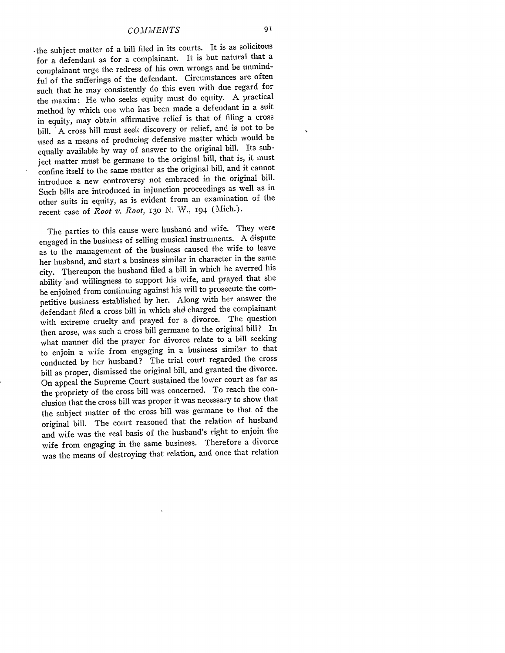the subject matter of a bill filed in its courts. It is as solicitous for a defendant as for a complainant. It is but natural that a complainant urge the redress of his own wrongs and be unmindful of the sufferings of the defendant. Circumstances are often such that he may consistently do this even with due regard for the maxim: He who seeks equity must do equity. A practical method by which one who has been made a defendant in a suit in equity, may obtain affirmative relief is that of filing a cross bill. A cross bill must seek discovery or relief, and is not to be used as a means of producing defensive matter which would be equally available by way of answer to the original bill. Its subject matter must be germane to the original bill, that is, it must confine itself to the same matter as the original bill, and it cannot introduce a new controversy not embraced in the original bill. Such bills are introduced in injunction proceedings as well as in other suits in equity, as is evident from an examination of the recent case of *Root v. Root, 130* N. **AV., 194** (Mich.).

The parties to this cause were husband and wife. They were engaged in the business of selling musical instruments. A dispute as to the management of the business caused the wife to leave her husband, and start a business similar in character in the same city. Thereupon the husband filed a bill in which he averred his ability and willingness to support his wife, and prayed that she be enjoined from continuing against his will to prosecute the competitive business established by her. Along with her answer the defendant filed a cross bill in which shd charged the complainant with extreme cruelty and prayed for a divorce. The question then arose, was such a cross bill germane to the original bill? In what manner did the prayer for divorce relate to a bill seeking to enjoin a wife from engaging in a business similar to that conducted by her husband? The trial court regarded the cross bill as proper, dismissed the original bill, and granted the divorce. On appeal the Supreme Court sustained the lower court as far as the propriety of the cross bill was concerned. To reach the conclusion that the cross bill was proper it was necessary to show that the subject matter of the cross bill was germane to that of the original bill. The court reasoned that the relation of husband and wife was the real basis of the husband's right to enjoin the wife from engaging in the same business. Therefore a divorce was the means of destroying that relation, and once that relation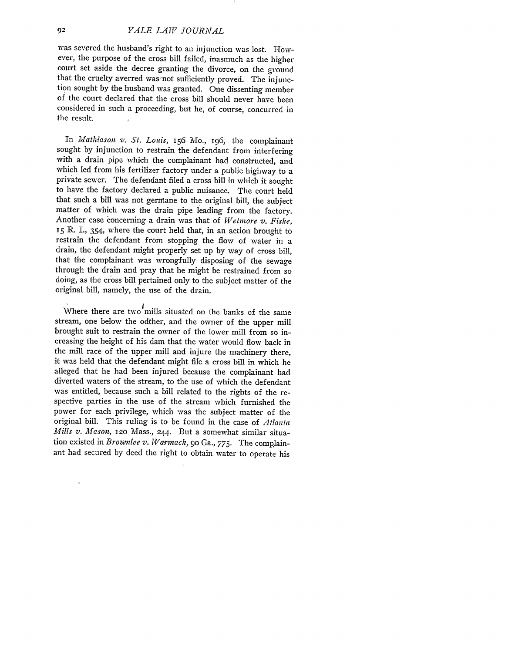was severed the husband's right to an injunction was lost. However, the purpose of the cross bill failed, inasmuch as the higher court set aside the decree granting the divorce, on the ground that the cruelty averred was'not sufficiently proved. The injunction sought by the husband was granted. One dissenting member of the court declared that the cross bill should never have been considered in such a proceeding, but he, of course, concurred in the result.

In *Mathiason v. St. Louis,* 156 Mo., 196, the complainant sought **by** injunction to restrain the defendant from interfering with a drain pipe which the complainant had constructed, and Which led from his fertilizer factory under a public highway to a private sewer. The defendant filed a cross bill in which it sought to have the factory declared a public nuisance. The court held that such a bill was not germiane to the original bill, the subject matter of which was the drain pipe leading from the factory. Another case concerning a drain was that of *Wetmore v. Fiske*. **<sup>15</sup>**R. **1.,** 354, where the court held that, in an action brought to restrain the defendant from stopping the flow of water in a drain, the defendant might properly set up **by** way of cross bill, that the complainant was wrongfully disposing of the sewage through the drain and pray that he might be restrained from so doing, as the cross bill pertained only to the subject matter of the original bill, namely, the use of the drain.

Where there are two mills situated on the banks of the same stream, one below the odther, and the owner of the upper mill brought suit to restrain the owner of the lower mill from so increasing the height of his dam that the water would flow back in the mill race of the upper mill and injure the machinery there, it was held that the defendant might file a cross bill in which he alleged that he had been injured because the complainant had diverted waters of the stream, to the use of which the defendant was entitled, because such a bill related to the rights of the respective parties in the use of the stream which furnished the power for each privilege, which was the subject matter of the original bill. This ruling is to be found in the case of *Atlanta Mills v. Mason,* **12o** Mass., **244.** But a somewhat similar situation existed in *Brownlee v. Warmack,* **90** Ga., 775. The complainant had secured **by** deed the right to obtain water to operate his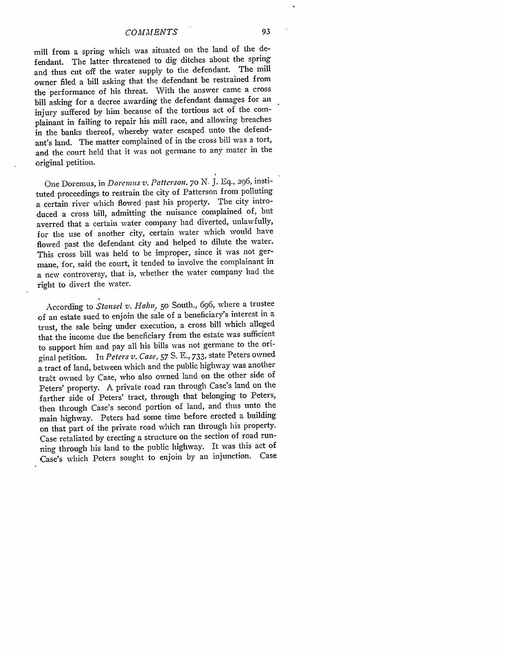mill from a spring which was situated on the land of the defendant. The latter threatened to dig ditches about the spring and thus cut off the water supply to the defendant. The mill owner filed a bill asking that the defendant be restrained from the performance of his threat. With the answer came a cross bill asking for a decree awarding the defendant damages for an injury suffered by him because of the tortious act of the complainant in failing to repair his mill race, and allowing breaches in the banks thereof, whereby water escaped unto the defendant's land. The matter complained of in the cross bill was a tort, and the court held that it was not germane to any mater in the original petition.

One Doremus, in *Doremus v. Pattersonl. 70* N. J. Eq., 296, instituted proceedings to restrain the city of Patterson from polluting a certain river which flowed past his property. The city introduced a cross bill, admitting the nuisance complained of, but averred that a certain water company had diverted, unlawfully, for the use of another city, certain water which would have flowed past the defendant city and helped to dilute the water. This cross bill was held to be improper, since it was not germane, for, said the court, it tended to involve the complainant in a new controversy, that is, whether the water company had the right to divert the water.

According to *Stansel v. Hahn,* **50** South., 696, where a trustee of an estate sued to enjoin the sale of a beneficiary's interest in a trust, the sale being under execution, a cross bill which alleged that the income due the beneficiary from the estate was sufficient to support him and pay all his bills was not germane to the original petition. In *Peters v. Case*, 57 S. E., 733, state Peters owned a tract of land, between which and the public highway was another traft owned by Case, who also owned land on the other side of Peters' property. A private road ran through Case's land on the farther side of Peters' tract, through that belonging to Peters, then through Case's second portion of land, and thus unto the main highway. Peters had some time before erected a building on that part of the private road which ran through his property. Case retaliated by erecting a structure on the section of road running through his land to the public highway. It was this act of Case's which Peters sought to enjoin by an injunction. Case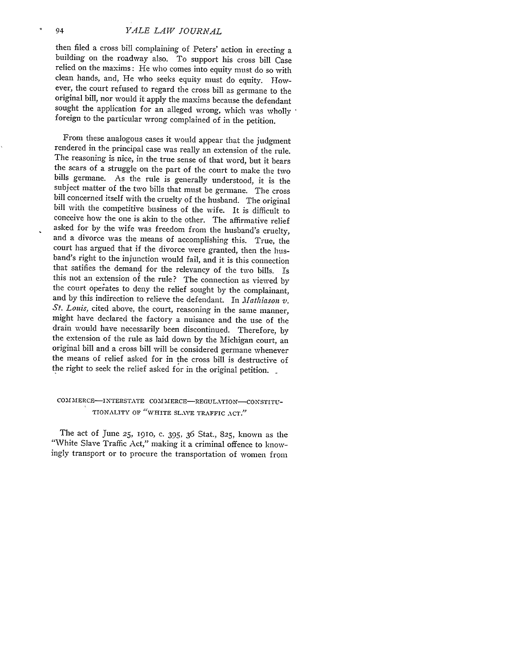then filed a cross bill complaining of Peters' action in erecting a building on the roadway also. To support his cross bill Case relied on the maxims: He who comes into equity must do so with clean hands, and, He who seeks equity must do equity. Thowever, the court refused to regard the cross bill as germane to the original bill, nor would it apply the maxims because the defendant sought the application for an alleged wrong, which was wholly foreign to the particular wrong complained of in the petition.

From these analogous cases it would appear that the judgment rendered in the principal case was really an extension of the rule. The reasoning is nice, in the true sense of that word, but it bears the scars of a struggle on the part of the court to make the two bills germane. As the rule is generally understood, it is the subject matter of the two bills that must be germane. The cross bill concerned itself with the cruelty of the husband. The original bill with the competitive business of the wife. It is difficult to conceive how the one is akin to the other. The affirmative relief asked for by the wife was freedom from the husband's cruelty, and a divorce was the means of accomplishing this. True, the court has argued that if the divorce were granted, then the husband's right to the injunction would fail, and it is this connection that satifies the demand for the relevancy of the two bills. Is this not an extension of the rule? The connection as viewed by the court operates to deny the relief sought by the complainant, and by this indirection to relieve the defendant. In *Mathiason v*. *St. Louis,* cited above, the court, reasoning in the same manner, might have declared the factory a nuisance and the use of the drain would have necessarily been discontinued. Therefore, by the extension of the rule as laid down **by** the Michigan court, an original bill and a cross bill will be considered germane whenever the means of relief asked for in the cross bill is destructive of the right to seek the relief asked for in the original petition.

# COMMERCE-INTERSTATE COMMERCE-REGULATION-CONSTITU-TIONALITY OF **"'WHITE SLAVE TRAFFIC ACT."**

The act of June **25,** 1910, c. 395, 36 Stat., 825, known as the "White Slave Traffic Act," making it a criminal offence to knowingly transport or to procure the transportation of women from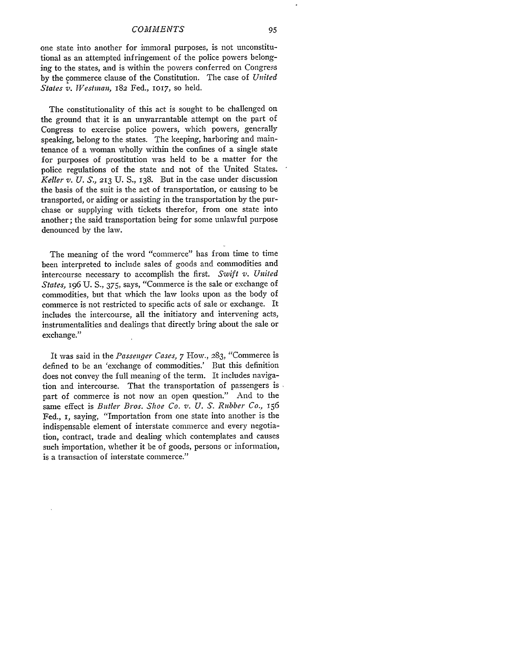### *COMMENTS*

one state into another for immoral purposes, is not unconstitutional as an attempted infringement of the police powers belonging to the states, and is within the powers conferred on Congress by the commerce clause of the Constitution. The case of *United States v. Westinan,* 182 Fed., **1017,** so held.

The constitutionality of this act is sought to be challenged on the ground that it is an unwarrantable attempt on the part of Congress to exercise police powers, which powers, generally speaking, belong to the states. The keeping, harboring and maintenance of a woman wholly within the confines of a single state for purposes of prostitution was held to be a matter for the police regulations of the state and not of the United States. *Keller v. U.* **S.,** 213 **U. S.,** 138. But in the case under discussion the basis of the suit is the act of transportation, or causing to be transported, or aiding or assisting in the transportation **by** the purchase or supplying with tickets therefor, from one state into another; the said transportation being for some unlawful purpose denounced **by** the law.

The meaning of the word "commerce" has from time to time been interpreted to include sales of goods and commodities and intercourse necessary to accomplish the first. *Swift v. United States,* 196 U. S., 375, says, "Commerce is the sale or exchange of commodities, but that which the law looks upon as the body of commerce is not restricted to specific acts of sale or exchange. It includes the intercourse, all the initiatory and intervening acts, instrumentalities and dealings that directly bring about the sale or exchange."

It was said in the *Passenger Cases,* **7** How., 283, "Commerce is defined to be an 'exchange of commodities.' But this definition does not convey the full meaning of the term. It includes navigation and intercourse. That the transportation of passengers is part of commerce is not now an open question." And to the same effect is *Butler Bros.* Shoe *Co. v. U. S. Rubber Co.,* <sup>156</sup> Fed., i, saying, "Importation from one state into another is the indispensable element of interstate commerce and every negotiation, contract, trade and dealing which contemplates and causes such importation, whether it be of goods, persons or information, is a transaction of interstate commerce."